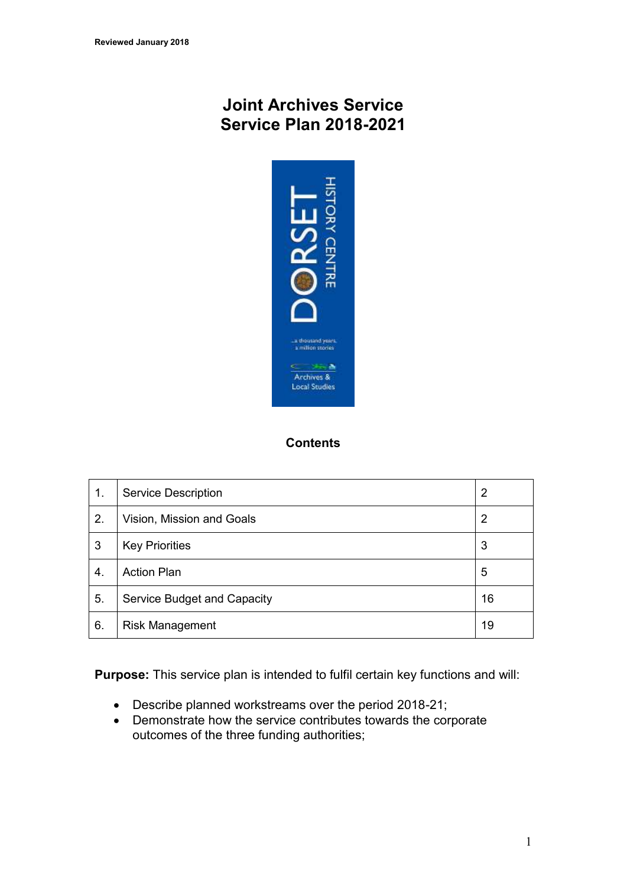# **Joint Archives Service Service Plan 2018-2021**



# **Contents**

| 1. | <b>Service Description</b>  | 2  |
|----|-----------------------------|----|
| 2. | Vision, Mission and Goals   | 2  |
| 3  | <b>Key Priorities</b>       | 3  |
| 4. | <b>Action Plan</b>          | 5  |
| 5. | Service Budget and Capacity | 16 |
| 6. | <b>Risk Management</b>      | 19 |

**Purpose:** This service plan is intended to fulfil certain key functions and will:

- Describe planned workstreams over the period 2018-21;
- Demonstrate how the service contributes towards the corporate outcomes of the three funding authorities;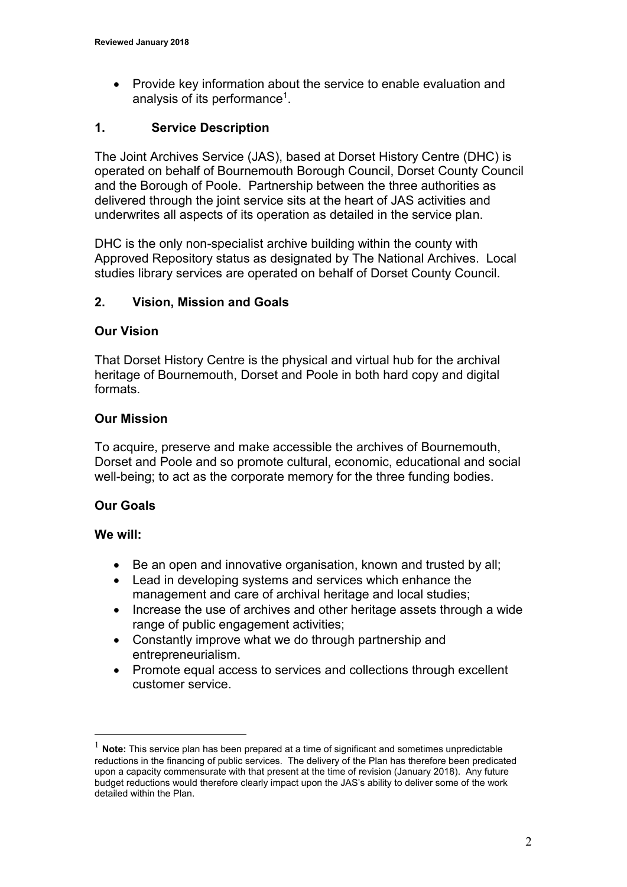Provide key information about the service to enable evaluation and analysis of its performance<sup>1</sup>.

## **1. Service Description**

The Joint Archives Service (JAS), based at Dorset History Centre (DHC) is operated on behalf of Bournemouth Borough Council, Dorset County Council and the Borough of Poole. Partnership between the three authorities as delivered through the joint service sits at the heart of JAS activities and underwrites all aspects of its operation as detailed in the service plan.

DHC is the only non-specialist archive building within the county with Approved Repository status as designated by The National Archives. Local studies library services are operated on behalf of Dorset County Council.

## **2. Vision, Mission and Goals**

### **Our Vision**

That Dorset History Centre is the physical and virtual hub for the archival heritage of Bournemouth, Dorset and Poole in both hard copy and digital formats.

## **Our Mission**

To acquire, preserve and make accessible the archives of Bournemouth, Dorset and Poole and so promote cultural, economic, educational and social well-being; to act as the corporate memory for the three funding bodies.

## **Our Goals**

### **We will:**

 $\overline{a}$ 

- Be an open and innovative organisation, known and trusted by all;
- Lead in developing systems and services which enhance the management and care of archival heritage and local studies;
- Increase the use of archives and other heritage assets through a wide range of public engagement activities;
- Constantly improve what we do through partnership and entrepreneurialism.
- Promote equal access to services and collections through excellent customer service.

Note: This service plan has been prepared at a time of significant and sometimes unpredictable reductions in the financing of public services. The delivery of the Plan has therefore been predicated upon a capacity commensurate with that present at the time of revision (January 2018). Any future budget reductions would therefore clearly impact upon the JAS's ability to deliver some of the work detailed within the Plan.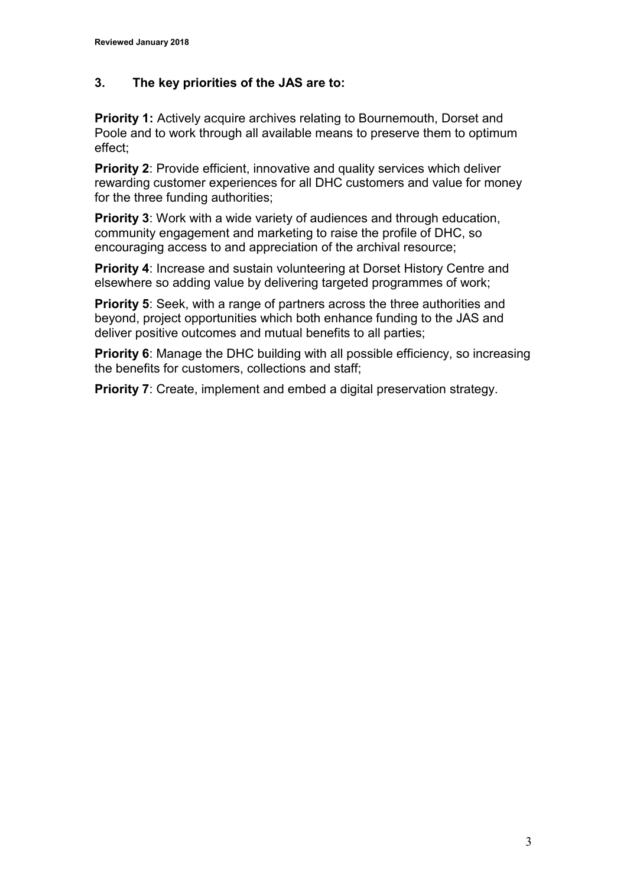## **3. The key priorities of the JAS are to:**

**Priority 1:** Actively acquire archives relating to Bournemouth, Dorset and Poole and to work through all available means to preserve them to optimum effect;

**Priority 2:** Provide efficient, innovative and quality services which deliver rewarding customer experiences for all DHC customers and value for money for the three funding authorities;

**Priority 3:** Work with a wide variety of audiences and through education, community engagement and marketing to raise the profile of DHC, so encouraging access to and appreciation of the archival resource;

**Priority 4:** Increase and sustain volunteering at Dorset History Centre and elsewhere so adding value by delivering targeted programmes of work;

**Priority 5**: Seek, with a range of partners across the three authorities and beyond, project opportunities which both enhance funding to the JAS and deliver positive outcomes and mutual benefits to all parties;

**Priority 6:** Manage the DHC building with all possible efficiency, so increasing the benefits for customers, collections and staff;

**Priority 7:** Create, implement and embed a digital preservation strategy.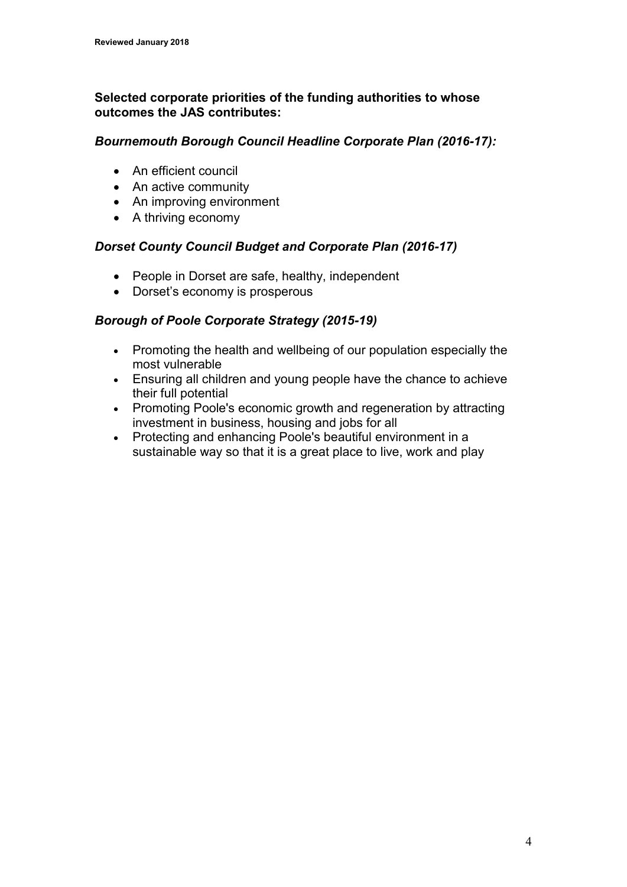## **Selected corporate priorities of the funding authorities to whose outcomes the JAS contributes:**

### *Bournemouth Borough Council Headline Corporate Plan (2016-17):*

- An efficient council
- An active community
- An improving environment
- A thriving economy

## *Dorset County Council Budget and Corporate Plan (2016-17)*

- People in Dorset are safe, healthy, independent
- Dorset's economy is prosperous

## *Borough of Poole Corporate Strategy (2015-19)*

- Promoting the health and wellbeing of our population especially the most vulnerable
- Ensuring all children and young people have the chance to achieve their full potential
- Promoting Poole's economic growth and regeneration by attracting investment in business, housing and jobs for all
- Protecting and enhancing Poole's beautiful environment in a sustainable way so that it is a great place to live, work and play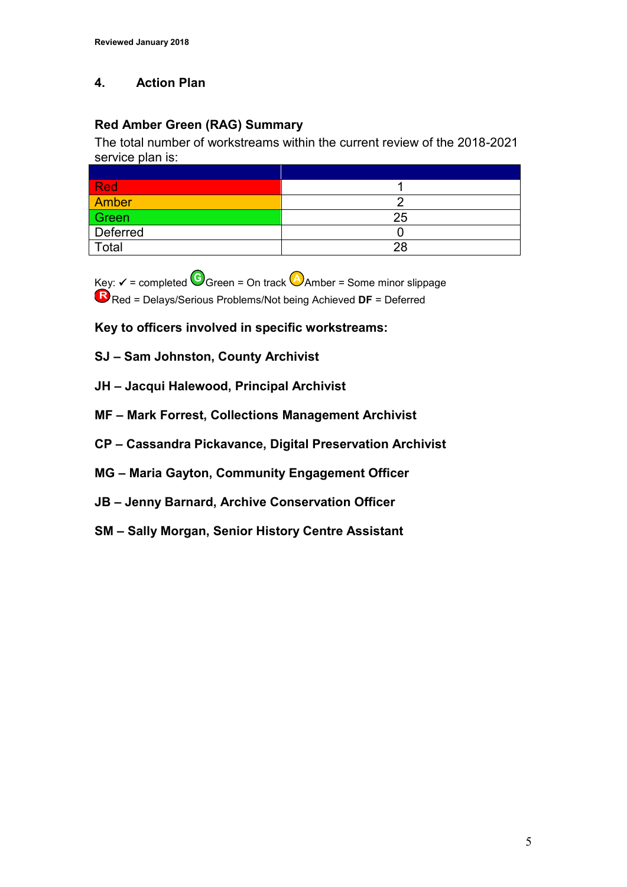# **4. Action Plan**

# **Red Amber Green (RAG) Summary**

The total number of workstreams within the current review of the 2018-2021 service plan is:

| <b>Red</b>   |    |
|--------------|----|
| <b>Amber</b> |    |
| Green        | 25 |
| Deferred     |    |
| Total        | 28 |

 $Key: \checkmark$  = completed  $G$  Green = On track  $G$  Amber = Some minor slippage **R** Red = Delays/Serious Problems/Not being Achieved **DF** = Deferred

**Key to officers involved in specific workstreams:**

### **SJ – Sam Johnston, County Archivist**

- **JH – Jacqui Halewood, Principal Archivist**
- **MF – Mark Forrest, Collections Management Archivist**
- **CP – Cassandra Pickavance, Digital Preservation Archivist**
- **MG – Maria Gayton, Community Engagement Officer**
- **JB – Jenny Barnard, Archive Conservation Officer**
- **SM – Sally Morgan, Senior History Centre Assistant**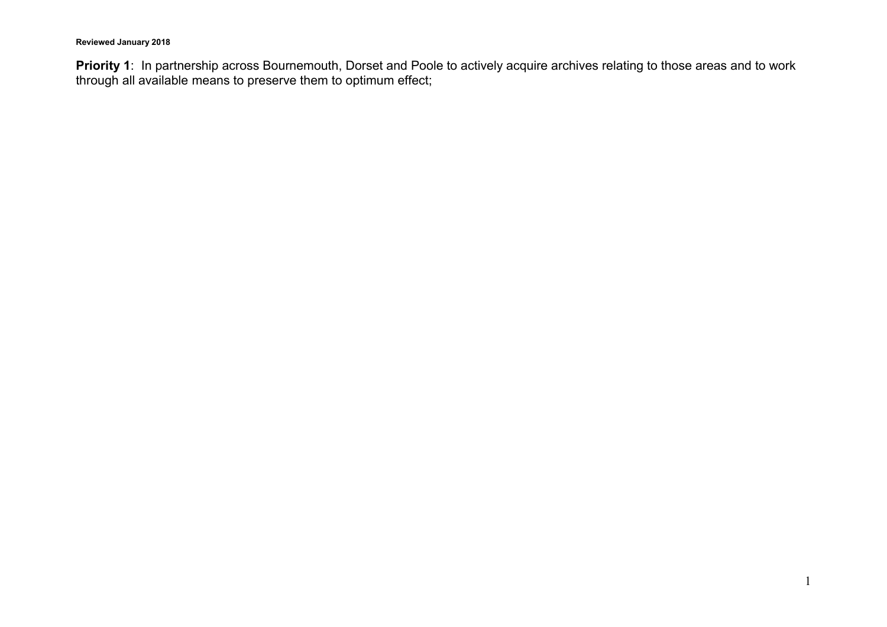**Priority 1**: In partnership across Bournemouth, Dorset and Poole to actively acquire archives relating to those areas and to work through all available means to preserve them to optimum effect;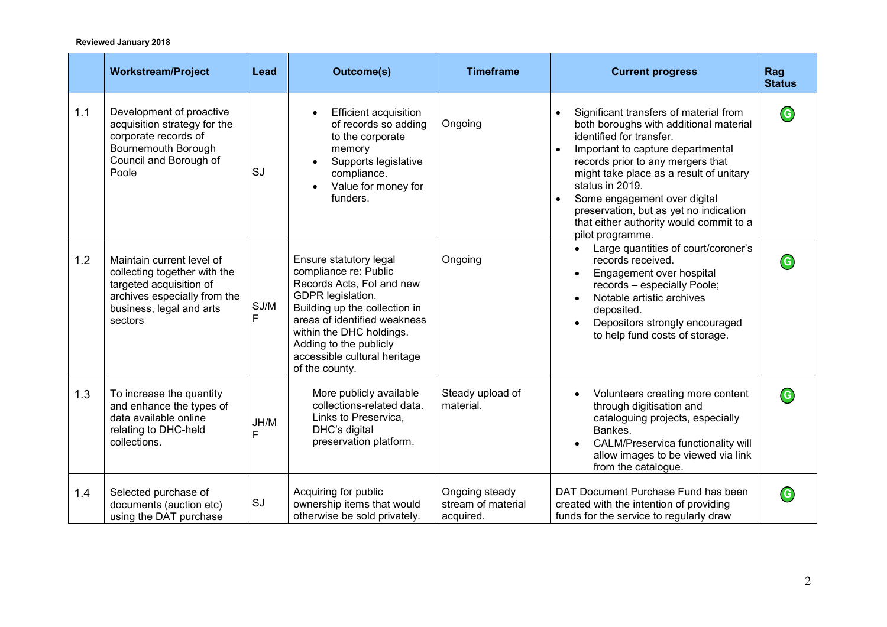|     | <b>Workstream/Project</b>                                                                                                                                   | Lead       | <b>Outcome(s)</b>                                                                                                                                                                                                                                                          | <b>Timeframe</b>                                  | <b>Current progress</b>                                                                                                                                                                                                                                                                                                                                                                       | Rag<br><b>Status</b>       |
|-----|-------------------------------------------------------------------------------------------------------------------------------------------------------------|------------|----------------------------------------------------------------------------------------------------------------------------------------------------------------------------------------------------------------------------------------------------------------------------|---------------------------------------------------|-----------------------------------------------------------------------------------------------------------------------------------------------------------------------------------------------------------------------------------------------------------------------------------------------------------------------------------------------------------------------------------------------|----------------------------|
| 1.1 | Development of proactive<br>acquisition strategy for the<br>corporate records of<br>Bournemouth Borough<br>Council and Borough of<br>Poole                  | SJ         | <b>Efficient acquisition</b><br>of records so adding<br>to the corporate<br>memory<br>Supports legislative<br>compliance.<br>Value for money for<br>$\bullet$<br>funders.                                                                                                  | Ongoing                                           | Significant transfers of material from<br>both boroughs with additional material<br>identified for transfer.<br>Important to capture departmental<br>records prior to any mergers that<br>might take place as a result of unitary<br>status in 2019.<br>Some engagement over digital<br>preservation, but as yet no indication<br>that either authority would commit to a<br>pilot programme. | $\mathbf G$                |
| 1.2 | Maintain current level of<br>collecting together with the<br>targeted acquisition of<br>archives especially from the<br>business, legal and arts<br>sectors | SJ/M<br>F. | Ensure statutory legal<br>compliance re: Public<br>Records Acts, Fol and new<br>GDPR legislation.<br>Building up the collection in<br>areas of identified weakness<br>within the DHC holdings.<br>Adding to the publicly<br>accessible cultural heritage<br>of the county. | Ongoing                                           | Large quantities of court/coroner's<br>$\bullet$<br>records received.<br>Engagement over hospital<br>$\bullet$<br>records - especially Poole;<br>Notable artistic archives<br>$\bullet$<br>deposited.<br>Depositors strongly encouraged<br>to help fund costs of storage.                                                                                                                     | $\left( \mathsf{G}\right)$ |
| 1.3 | To increase the quantity<br>and enhance the types of<br>data available online<br>relating to DHC-held<br>collections.                                       | JH/M<br>F  | More publicly available<br>collections-related data.<br>Links to Preservica,<br>DHC's digital<br>preservation platform.                                                                                                                                                    | Steady upload of<br>material.                     | Volunteers creating more content<br>through digitisation and<br>cataloguing projects, especially<br>Bankes.<br>CALM/Preservica functionality will<br>allow images to be viewed via link<br>from the catalogue.                                                                                                                                                                                | $\mathbf G$                |
| 1.4 | Selected purchase of<br>documents (auction etc)<br>using the DAT purchase                                                                                   | SJ         | Acquiring for public<br>ownership items that would<br>otherwise be sold privately.                                                                                                                                                                                         | Ongoing steady<br>stream of material<br>acquired. | DAT Document Purchase Fund has been<br>created with the intention of providing<br>funds for the service to regularly draw                                                                                                                                                                                                                                                                     | $\mathbf G$                |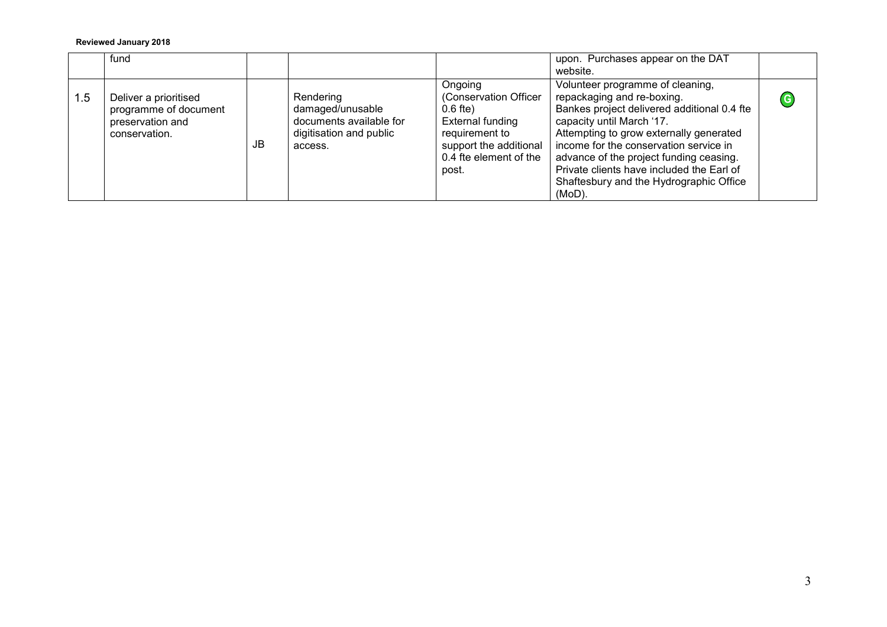|     | fund                                                                                |    |                                                                                                |                                                                                                                                                   | upon. Purchases appear on the DAT<br>website.                                                                                                                                                                                                                                                                                                                               |             |
|-----|-------------------------------------------------------------------------------------|----|------------------------------------------------------------------------------------------------|---------------------------------------------------------------------------------------------------------------------------------------------------|-----------------------------------------------------------------------------------------------------------------------------------------------------------------------------------------------------------------------------------------------------------------------------------------------------------------------------------------------------------------------------|-------------|
| 1.5 | Deliver a prioritised<br>programme of document<br>preservation and<br>conservation. | JB | Rendering<br>damaged/unusable<br>documents available for<br>digitisation and public<br>access. | Ongoing<br>(Conservation Officer<br>$0.6$ fte)<br>External funding<br>requirement to<br>support the additional<br>0.4 fte element of the<br>post. | Volunteer programme of cleaning,<br>repackaging and re-boxing.<br>Bankes project delivered additional 0.4 fte<br>capacity until March '17.<br>Attempting to grow externally generated<br>income for the conservation service in<br>advance of the project funding ceasing.<br>Private clients have included the Earl of<br>Shaftesbury and the Hydrographic Office<br>(MoD) | $\mathbf G$ |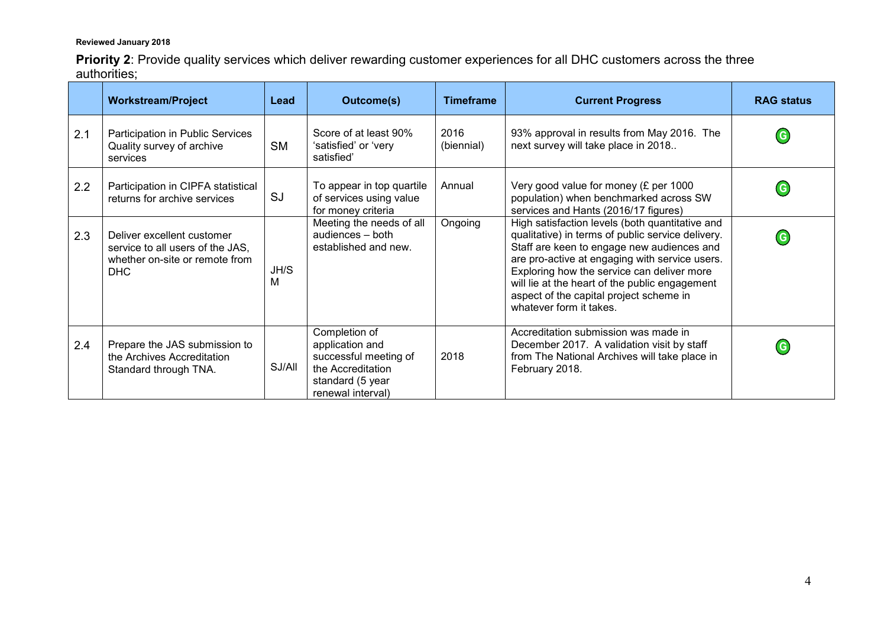**Priority 2**: Provide quality services which deliver rewarding customer experiences for all DHC customers across the three authorities;

|     | <b>Workstream/Project</b>                                                                               | Lead      | <b>Outcome(s)</b>                                                                                                       | <b>Timeframe</b>   | <b>Current Progress</b>                                                                                                                                                                                                                                                                                                                                                    | <b>RAG status</b> |
|-----|---------------------------------------------------------------------------------------------------------|-----------|-------------------------------------------------------------------------------------------------------------------------|--------------------|----------------------------------------------------------------------------------------------------------------------------------------------------------------------------------------------------------------------------------------------------------------------------------------------------------------------------------------------------------------------------|-------------------|
| 2.1 | Participation in Public Services<br>Quality survey of archive<br>services                               | <b>SM</b> | Score of at least 90%<br>'satisfied' or 'very<br>satisfied'                                                             | 2016<br>(biennial) | 93% approval in results from May 2016. The<br>next survey will take place in 2018                                                                                                                                                                                                                                                                                          | G                 |
| 2.2 | Participation in CIPFA statistical<br>returns for archive services                                      | <b>SJ</b> | To appear in top quartile<br>of services using value<br>for money criteria                                              | Annual             | Very good value for money (£ per 1000<br>population) when benchmarked across SW<br>services and Hants (2016/17 figures)                                                                                                                                                                                                                                                    |                   |
| 2.3 | Deliver excellent customer<br>service to all users of the JAS,<br>whether on-site or remote from<br>DHC | JH/S<br>м | Meeting the needs of all<br>audiences - both<br>established and new.                                                    | Ongoing            | High satisfaction levels (both quantitative and<br>qualitative) in terms of public service delivery.<br>Staff are keen to engage new audiences and<br>are pro-active at engaging with service users.<br>Exploring how the service can deliver more<br>will lie at the heart of the public engagement<br>aspect of the capital project scheme in<br>whatever form it takes. | G                 |
| 2.4 | Prepare the JAS submission to<br>the Archives Accreditation<br>Standard through TNA.                    | SJ/All    | Completion of<br>application and<br>successful meeting of<br>the Accreditation<br>standard (5 year<br>renewal interval) | 2018               | Accreditation submission was made in<br>December 2017. A validation visit by staff<br>from The National Archives will take place in<br>February 2018.                                                                                                                                                                                                                      | G                 |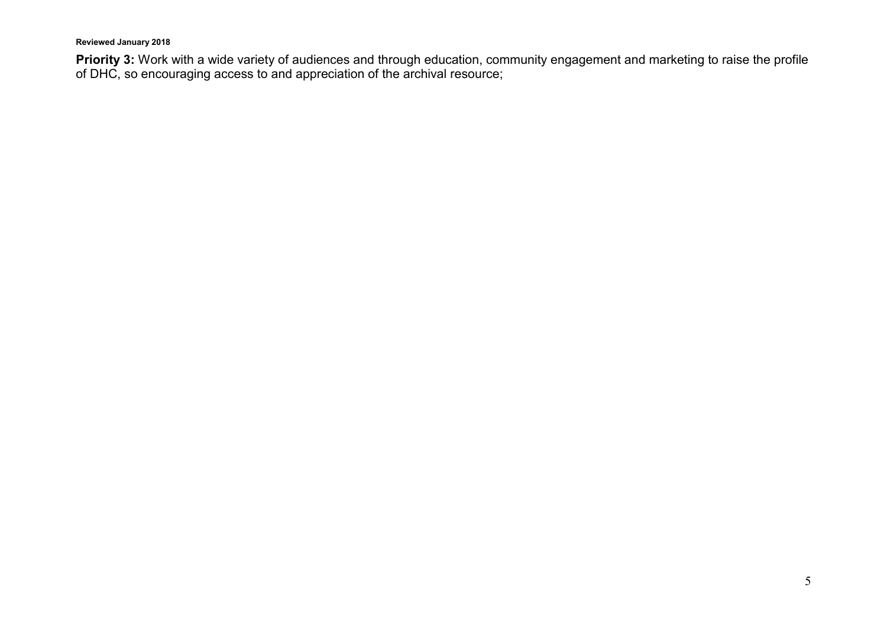**Priority 3:** Work with a wide variety of audiences and through education, community engagement and marketing to raise the profile of DHC, so encouraging access to and appreciation of the archival resource;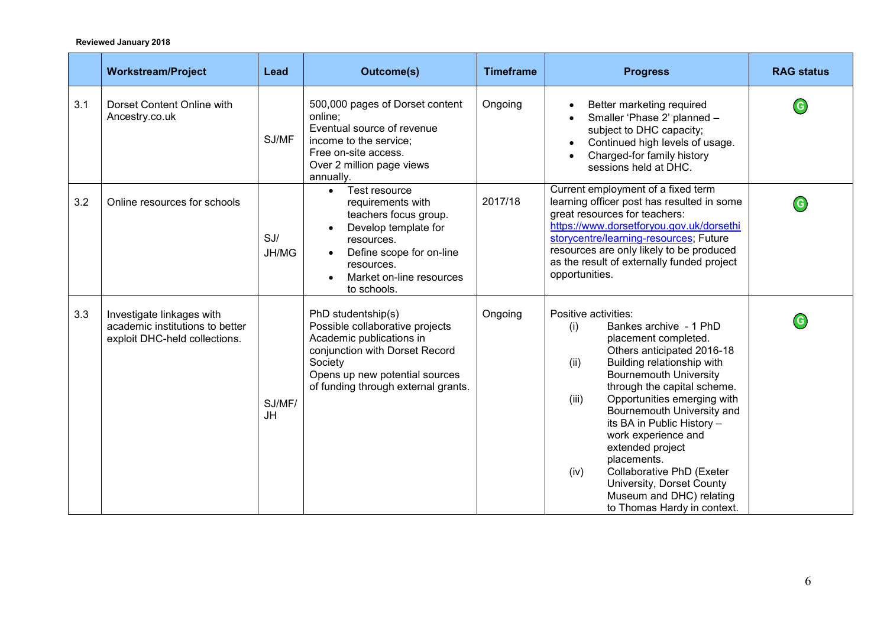|     | <b>Workstream/Project</b>                                                                     | Lead                | <b>Outcome(s)</b>                                                                                                                                                                                       | <b>Timeframe</b> | <b>Progress</b>                                                                                                                                                                                                                                                                                                                                                                                                                                                                                              | <b>RAG status</b>          |
|-----|-----------------------------------------------------------------------------------------------|---------------------|---------------------------------------------------------------------------------------------------------------------------------------------------------------------------------------------------------|------------------|--------------------------------------------------------------------------------------------------------------------------------------------------------------------------------------------------------------------------------------------------------------------------------------------------------------------------------------------------------------------------------------------------------------------------------------------------------------------------------------------------------------|----------------------------|
| 3.1 | Dorset Content Online with<br>Ancestry.co.uk                                                  | SJ/MF               | 500,000 pages of Dorset content<br>online;<br>Eventual source of revenue<br>income to the service;<br>Free on-site access.<br>Over 2 million page views<br>annually.                                    | Ongoing          | Better marketing required<br>Smaller 'Phase 2' planned -<br>subject to DHC capacity;<br>Continued high levels of usage.<br>Charged-for family history<br>sessions held at DHC.                                                                                                                                                                                                                                                                                                                               | G                          |
| 3.2 | Online resources for schools                                                                  | SJ/<br>JH/MG        | Test resource<br>$\bullet$<br>requirements with<br>teachers focus group.<br>Develop template for<br>resources.<br>Define scope for on-line<br>resources.<br>Market on-line resources<br>to schools.     | 2017/18          | Current employment of a fixed term<br>learning officer post has resulted in some<br>great resources for teachers:<br>https://www.dorsetforyou.gov.uk/dorsethi<br>storycentre/learning-resources; Future<br>resources are only likely to be produced<br>as the result of externally funded project<br>opportunities.                                                                                                                                                                                          | $\mathbf G$                |
| 3.3 | Investigate linkages with<br>academic institutions to better<br>exploit DHC-held collections. | SJ/MF/<br><b>JH</b> | PhD studentship(s)<br>Possible collaborative projects<br>Academic publications in<br>conjunction with Dorset Record<br>Society<br>Opens up new potential sources<br>of funding through external grants. | Ongoing          | Positive activities:<br>Bankes archive - 1 PhD<br>(i)<br>placement completed.<br>Others anticipated 2016-18<br>Building relationship with<br>(ii)<br><b>Bournemouth University</b><br>through the capital scheme.<br>(iii)<br>Opportunities emerging with<br>Bournemouth University and<br>its BA in Public History -<br>work experience and<br>extended project<br>placements.<br>Collaborative PhD (Exeter<br>(iv)<br>University, Dorset County<br>Museum and DHC) relating<br>to Thomas Hardy in context. | $\left( \mathsf{G}\right)$ |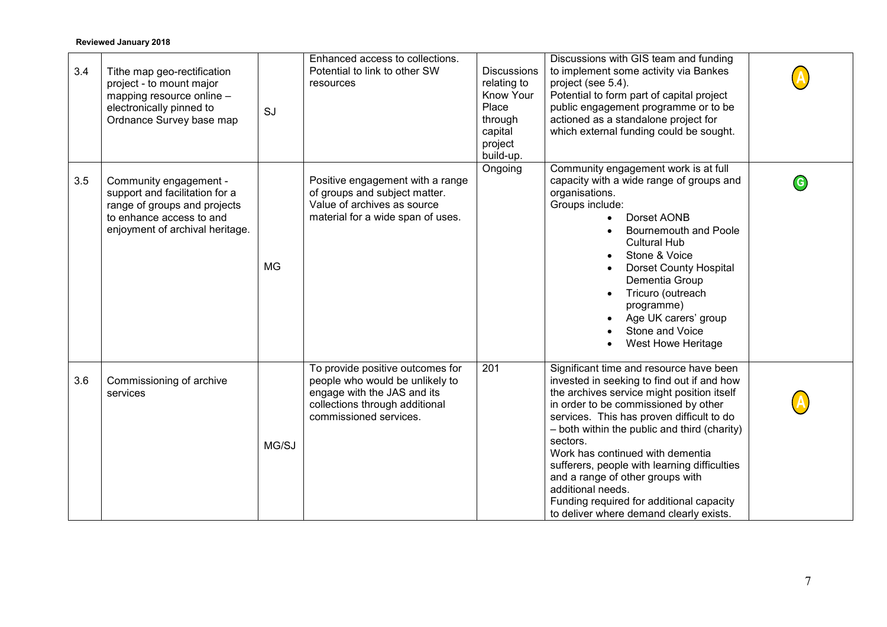| 3.4 | Tithe map geo-rectification<br>project - to mount major<br>mapping resource online -<br>electronically pinned to<br>Ordnance Survey base map            | SJ        | Enhanced access to collections.<br>Potential to link to other SW<br>resources                                                                                  | <b>Discussions</b><br>relating to<br>Know Your<br>Place<br>through<br>capital<br>project<br>build-up. | Discussions with GIS team and funding<br>to implement some activity via Bankes<br>project (see 5.4).<br>Potential to form part of capital project<br>public engagement programme or to be<br>actioned as a standalone project for<br>which external funding could be sought.                                                                                                                                                                                                                                             |   |
|-----|---------------------------------------------------------------------------------------------------------------------------------------------------------|-----------|----------------------------------------------------------------------------------------------------------------------------------------------------------------|-------------------------------------------------------------------------------------------------------|--------------------------------------------------------------------------------------------------------------------------------------------------------------------------------------------------------------------------------------------------------------------------------------------------------------------------------------------------------------------------------------------------------------------------------------------------------------------------------------------------------------------------|---|
| 3.5 | Community engagement -<br>support and facilitation for a<br>range of groups and projects<br>to enhance access to and<br>enjoyment of archival heritage. | <b>MG</b> | Positive engagement with a range<br>of groups and subject matter.<br>Value of archives as source<br>material for a wide span of uses.                          | Ongoing                                                                                               | Community engagement work is at full<br>capacity with a wide range of groups and<br>organisations.<br>Groups include:<br>Dorset AONB<br>Bournemouth and Poole<br><b>Cultural Hub</b><br>Stone & Voice<br>Dorset County Hospital<br>Dementia Group<br>Tricuro (outreach<br>programme)<br>Age UK carers' group<br>Stone and Voice<br>West Howe Heritage                                                                                                                                                                    | G |
| 3.6 | Commissioning of archive<br>services                                                                                                                    | MG/SJ     | To provide positive outcomes for<br>people who would be unlikely to<br>engage with the JAS and its<br>collections through additional<br>commissioned services. | 201                                                                                                   | Significant time and resource have been<br>invested in seeking to find out if and how<br>the archives service might position itself<br>in order to be commissioned by other<br>services. This has proven difficult to do<br>- both within the public and third (charity)<br>sectors.<br>Work has continued with dementia<br>sufferers, people with learning difficulties<br>and a range of other groups with<br>additional needs.<br>Funding required for additional capacity<br>to deliver where demand clearly exists. |   |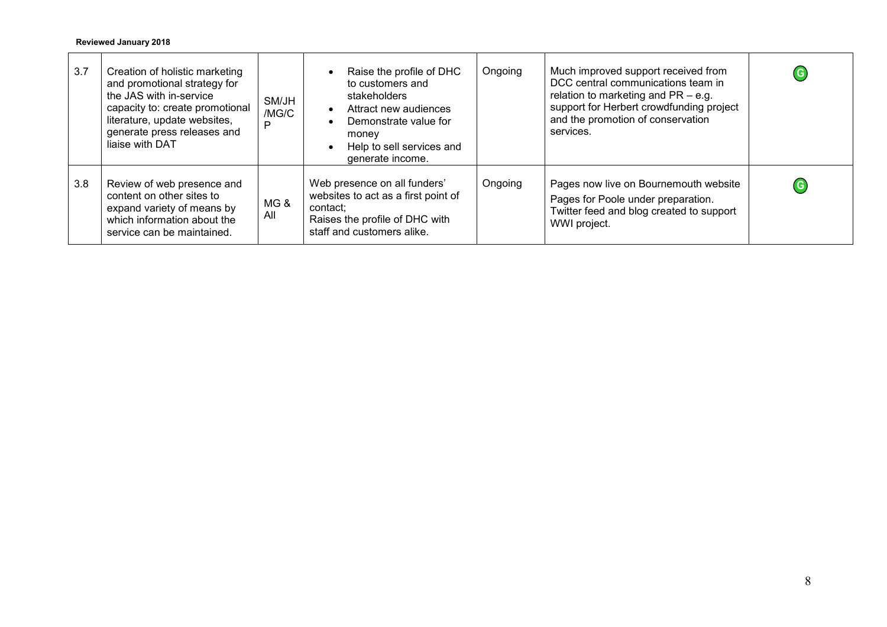| 3.7 | Creation of holistic marketing<br>and promotional strategy for<br>the JAS with in-service<br>capacity to: create promotional<br>literature, update websites,<br>generate press releases and<br>liaise with DAT | SM/JH<br>/MG/C<br>Þ | Raise the profile of DHC<br>to customers and<br>stakeholders<br>Attract new audiences<br>Demonstrate value for<br>money<br>Help to sell services and<br>generate income. | Ongoing | Much improved support received from<br>DCC central communications team in<br>relation to marketing and $PR - e.g.$<br>support for Herbert crowdfunding project<br>and the promotion of conservation<br>services. | $\mathbf G$ |
|-----|----------------------------------------------------------------------------------------------------------------------------------------------------------------------------------------------------------------|---------------------|--------------------------------------------------------------------------------------------------------------------------------------------------------------------------|---------|------------------------------------------------------------------------------------------------------------------------------------------------------------------------------------------------------------------|-------------|
| 3.8 | Review of web presence and<br>content on other sites to<br>expand variety of means by<br>which information about the<br>service can be maintained.                                                             | MG&<br>All          | Web presence on all funders'<br>websites to act as a first point of<br>contact:<br>Raises the profile of DHC with<br>staff and customers alike.                          | Ongoing | Pages now live on Bournemouth website<br>Pages for Poole under preparation.<br>Twitter feed and blog created to support<br>WWI project.                                                                          | $\mathbf G$ |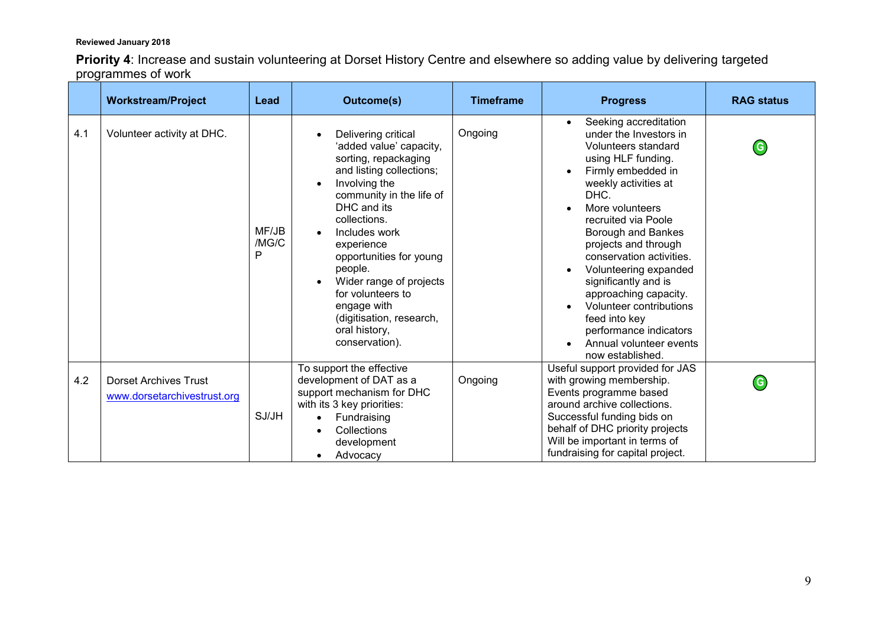**Priority 4**: Increase and sustain volunteering at Dorset History Centre and elsewhere so adding value by delivering targeted programmes of work

|     | <b>Workstream/Project</b>                                   | Lead                | <b>Outcome(s)</b>                                                                                                                                                                                                                                                                                                                                                                 | <b>Timeframe</b> | <b>Progress</b>                                                                                                                                                                                                                                                                                                                                                                                                                                                                    | <b>RAG status</b> |
|-----|-------------------------------------------------------------|---------------------|-----------------------------------------------------------------------------------------------------------------------------------------------------------------------------------------------------------------------------------------------------------------------------------------------------------------------------------------------------------------------------------|------------------|------------------------------------------------------------------------------------------------------------------------------------------------------------------------------------------------------------------------------------------------------------------------------------------------------------------------------------------------------------------------------------------------------------------------------------------------------------------------------------|-------------------|
| 4.1 | Volunteer activity at DHC.                                  | MF/JB<br>/MG/C<br>P | Delivering critical<br>'added value' capacity,<br>sorting, repackaging<br>and listing collections;<br>Involving the<br>community in the life of<br>DHC and its<br>collections.<br>Includes work<br>experience<br>opportunities for young<br>people.<br>Wider range of projects<br>for volunteers to<br>engage with<br>(digitisation, research,<br>oral history,<br>conservation). | Ongoing          | Seeking accreditation<br>$\bullet$<br>under the Investors in<br>Volunteers standard<br>using HLF funding.<br>Firmly embedded in<br>weekly activities at<br>DHC.<br>More volunteers<br>recruited via Poole<br>Borough and Bankes<br>projects and through<br>conservation activities.<br>Volunteering expanded<br>significantly and is<br>approaching capacity.<br>Volunteer contributions<br>feed into key<br>performance indicators<br>Annual volunteer events<br>now established. | $\mathbf G$       |
| 4.2 | <b>Dorset Archives Trust</b><br>www.dorsetarchivestrust.org | SJ/JH               | To support the effective<br>development of DAT as a<br>support mechanism for DHC<br>with its 3 key priorities:<br>Fundraising<br>Collections<br>development<br>Advocacy                                                                                                                                                                                                           | Ongoing          | Useful support provided for JAS<br>with growing membership.<br>Events programme based<br>around archive collections.<br>Successful funding bids on<br>behalf of DHC priority projects<br>Will be important in terms of<br>fundraising for capital project.                                                                                                                                                                                                                         | $\mathsf{G}$      |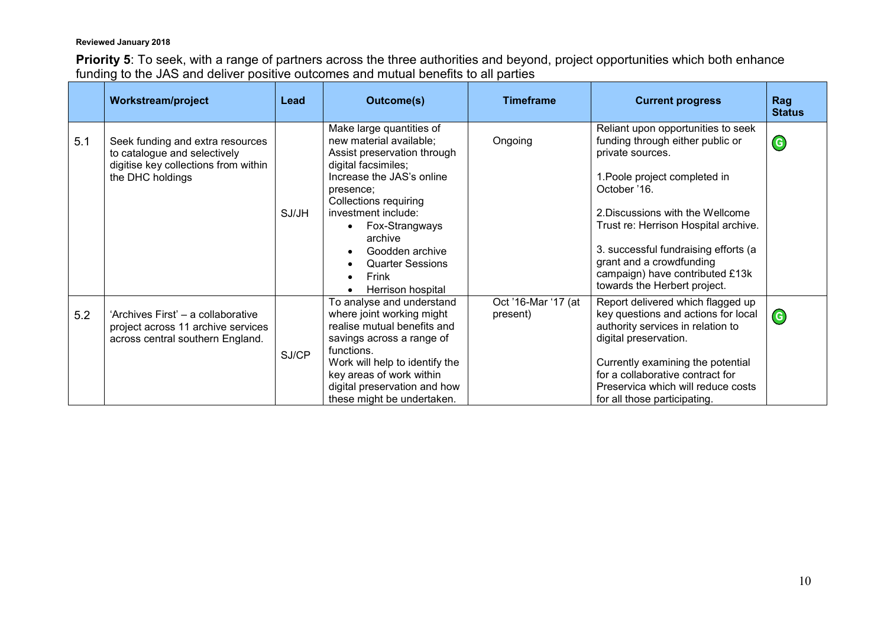**Priority 5**: To seek, with a range of partners across the three authorities and beyond, project opportunities which both enhance funding to the JAS and deliver positive outcomes and mutual benefits to all parties

|     | <b>Workstream/project</b>                                                                                                    | Lead  | <b>Outcome(s)</b>                                                                                                                                                                                                                                                                                                   | <b>Timeframe</b>                | <b>Current progress</b>                                                                                                                                                                                                                                                                                                                                        | Rag<br><b>Status</b> |
|-----|------------------------------------------------------------------------------------------------------------------------------|-------|---------------------------------------------------------------------------------------------------------------------------------------------------------------------------------------------------------------------------------------------------------------------------------------------------------------------|---------------------------------|----------------------------------------------------------------------------------------------------------------------------------------------------------------------------------------------------------------------------------------------------------------------------------------------------------------------------------------------------------------|----------------------|
| 5.1 | Seek funding and extra resources<br>to catalogue and selectively<br>digitise key collections from within<br>the DHC holdings | SJ/JH | Make large quantities of<br>new material available;<br>Assist preservation through<br>digital facsimiles;<br>Increase the JAS's online<br>presence;<br><b>Collections requiring</b><br>investment include:<br>Fox-Strangways<br>archive<br>Goodden archive<br><b>Quarter Sessions</b><br>Frink<br>Herrison hospital | Ongoing                         | Reliant upon opportunities to seek<br>funding through either public or<br>private sources.<br>1. Poole project completed in<br>October '16.<br>2. Discussions with the Wellcome<br>Trust re: Herrison Hospital archive.<br>3. successful fundraising efforts (a<br>grant and a crowdfunding<br>campaign) have contributed £13k<br>towards the Herbert project. | $\left($ G           |
| 5.2 | 'Archives First' - a collaborative<br>project across 11 archive services<br>across central southern England.                 | SJ/CP | To analyse and understand<br>where joint working might<br>realise mutual benefits and<br>savings across a range of<br>functions.<br>Work will help to identify the<br>key areas of work within<br>digital preservation and how<br>these might be undertaken.                                                        | Oct '16-Mar '17 (at<br>present) | Report delivered which flagged up<br>key questions and actions for local<br>authority services in relation to<br>digital preservation.<br>Currently examining the potential<br>for a collaborative contract for<br>Preservica which will reduce costs<br>for all those participating.                                                                          | $\bigodot$           |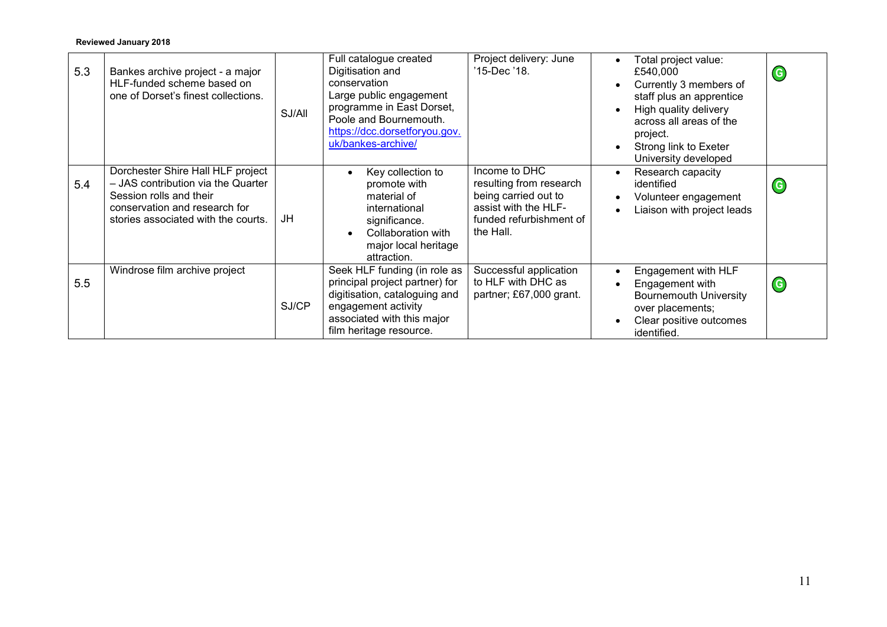| 5.3 | Bankes archive project - a major<br>HLF-funded scheme based on<br>one of Dorset's finest collections.                                                                      | SJ/All | Full catalogue created<br>Digitisation and<br>conservation<br>Large public engagement<br>programme in East Dorset,<br>Poole and Bournemouth.<br>https://dcc.dorsetforyou.gov.<br>uk/bankes-archive/ | Project delivery: June<br>'15-Dec '18.                                                                                           | Total project value:<br>£540,000<br>Currently 3 members of<br>staff plus an apprentice<br>High quality delivery<br>across all areas of the<br>project.<br>Strong link to Exeter<br>University developed | $\left($ G |
|-----|----------------------------------------------------------------------------------------------------------------------------------------------------------------------------|--------|-----------------------------------------------------------------------------------------------------------------------------------------------------------------------------------------------------|----------------------------------------------------------------------------------------------------------------------------------|---------------------------------------------------------------------------------------------------------------------------------------------------------------------------------------------------------|------------|
| 5.4 | Dorchester Shire Hall HLF project<br>- JAS contribution via the Quarter<br>Session rolls and their<br>conservation and research for<br>stories associated with the courts. | JH     | Key collection to<br>promote with<br>material of<br>international<br>significance.<br>Collaboration with<br>major local heritage<br>attraction.                                                     | Income to DHC<br>resulting from research<br>being carried out to<br>assist with the HLF-<br>funded refurbishment of<br>the Hall. | Research capacity<br>$\bullet$<br>identified<br>Volunteer engagement<br>Liaison with project leads                                                                                                      | $\left($ G |
| 5.5 | Windrose film archive project                                                                                                                                              | SJ/CP  | Seek HLF funding (in role as<br>principal project partner) for<br>digitisation, cataloguing and<br>engagement activity<br>associated with this major<br>film heritage resource.                     | Successful application<br>to HLF with DHC as<br>partner; £67,000 grant.                                                          | Engagement with HLF<br>Engagement with<br><b>Bournemouth University</b><br>over placements;<br>Clear positive outcomes<br>identified.                                                                   | $\left($ G |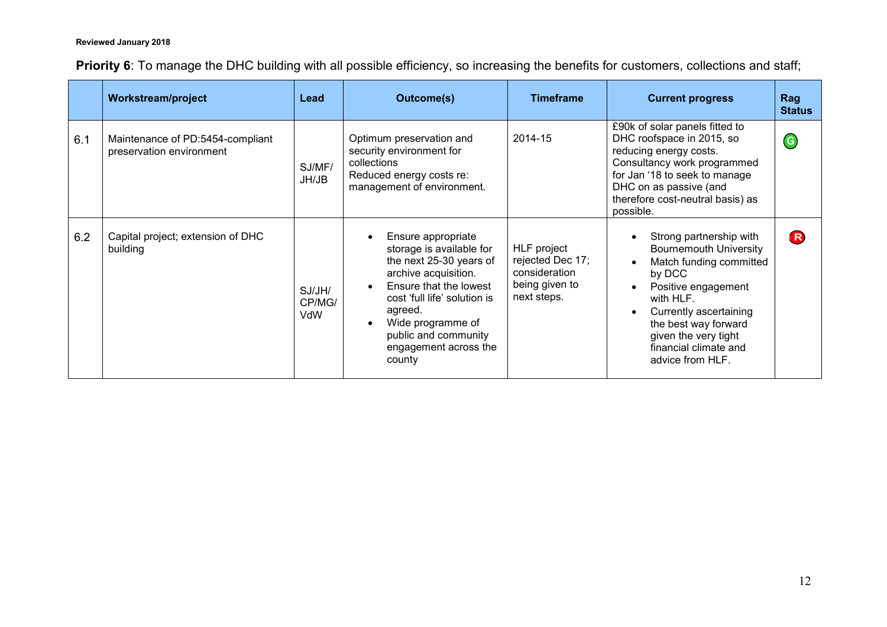|  |  |  |  |  | Priority 6: To manage the DHC building with all possible efficiency, so increasing the benefits for customers, collections and staff; |  |  |
|--|--|--|--|--|---------------------------------------------------------------------------------------------------------------------------------------|--|--|
|--|--|--|--|--|---------------------------------------------------------------------------------------------------------------------------------------|--|--|

|     | <b>Workstream/project</b>                                    | Lead                    | <b>Outcome(s)</b><br><b>Timeframe</b>                                                                                                                                                                                                                  |                                                                                   | <b>Current progress</b>                                                                                                                                                                                                                                  | Rag<br><b>Status</b> |
|-----|--------------------------------------------------------------|-------------------------|--------------------------------------------------------------------------------------------------------------------------------------------------------------------------------------------------------------------------------------------------------|-----------------------------------------------------------------------------------|----------------------------------------------------------------------------------------------------------------------------------------------------------------------------------------------------------------------------------------------------------|----------------------|
| 6.1 | Maintenance of PD:5454-compliant<br>preservation environment | SJ/MF/<br>JH/JB         | Optimum preservation and<br>security environment for<br>collections<br>Reduced energy costs re:<br>management of environment.                                                                                                                          | 2014-15                                                                           | £90k of solar panels fitted to<br>DHC roofspace in 2015, so<br>reducing energy costs.<br>Consultancy work programmed<br>for Jan '18 to seek to manage<br>DHC on as passive (and<br>therefore cost-neutral basis) as<br>possible.                         | $\left($ G           |
| 6.2 | Capital project; extension of DHC<br>building                | SJ/JH/<br>CP/MG/<br>VdW | Ensure appropriate<br>storage is available for<br>the next 25-30 years of<br>archive acquisition.<br>Ensure that the lowest<br>cost 'full life' solution is<br>agreed.<br>Wide programme of<br>public and community<br>engagement across the<br>county | HLF project<br>rejected Dec 17;<br>consideration<br>being given to<br>next steps. | Strong partnership with<br><b>Bournemouth University</b><br>Match funding committed<br>by DCC<br>Positive engagement<br>with HLF.<br>Currently ascertaining<br>the best way forward<br>given the very tight<br>financial climate and<br>advice from HLF. | R)                   |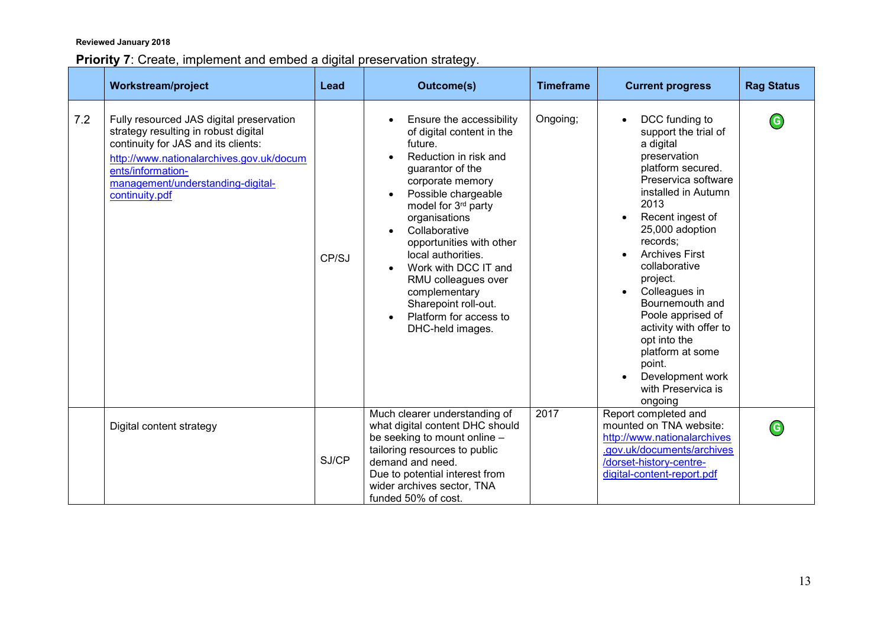# **Priority 7**: Create, implement and embed a digital preservation strategy.

|     | <b>Workstream/project</b>                                                                                                                                                                                                                       | Lead  | <b>Outcome(s)</b>                                                                                                                                                                                                                                                                                                                                                                                                                                                         | <b>Timeframe</b> | <b>Current progress</b>                                                                                                                                                                                                                                                                                                                                                                                                                       | <b>Rag Status</b> |
|-----|-------------------------------------------------------------------------------------------------------------------------------------------------------------------------------------------------------------------------------------------------|-------|---------------------------------------------------------------------------------------------------------------------------------------------------------------------------------------------------------------------------------------------------------------------------------------------------------------------------------------------------------------------------------------------------------------------------------------------------------------------------|------------------|-----------------------------------------------------------------------------------------------------------------------------------------------------------------------------------------------------------------------------------------------------------------------------------------------------------------------------------------------------------------------------------------------------------------------------------------------|-------------------|
| 7.2 | Fully resourced JAS digital preservation<br>strategy resulting in robust digital<br>continuity for JAS and its clients:<br>http://www.nationalarchives.gov.uk/docum<br>ents/information-<br>management/understanding-digital-<br>continuity.pdf | CP/SJ | Ensure the accessibility<br>of digital content in the<br>future.<br>Reduction in risk and<br>$\bullet$<br>guarantor of the<br>corporate memory<br>Possible chargeable<br>$\bullet$<br>model for 3 <sup>rd</sup> party<br>organisations<br>Collaborative<br>opportunities with other<br>local authorities.<br>Work with DCC IT and<br>$\bullet$<br>RMU colleagues over<br>complementary<br>Sharepoint roll-out.<br>Platform for access to<br>$\bullet$<br>DHC-held images. | Ongoing;         | DCC funding to<br>support the trial of<br>a digital<br>preservation<br>platform secured.<br>Preservica software<br>installed in Autumn<br>2013<br>Recent ingest of<br>25,000 adoption<br>records;<br><b>Archives First</b><br>collaborative<br>project.<br>Colleagues in<br>Bournemouth and<br>Poole apprised of<br>activity with offer to<br>opt into the<br>platform at some<br>point.<br>Development work<br>with Preservica is<br>ongoing | $\mathsf{G}$      |
|     | Digital content strategy                                                                                                                                                                                                                        | SJ/CP | Much clearer understanding of<br>what digital content DHC should<br>be seeking to mount online -<br>tailoring resources to public<br>demand and need.<br>Due to potential interest from<br>wider archives sector, TNA<br>funded 50% of cost.                                                                                                                                                                                                                              | 2017             | Report completed and<br>mounted on TNA website:<br>http://www.nationalarchives<br>.gov.uk/documents/archives<br>/dorset-history-centre-<br>digital-content-report.pdf                                                                                                                                                                                                                                                                         | $\mathsf{G}$      |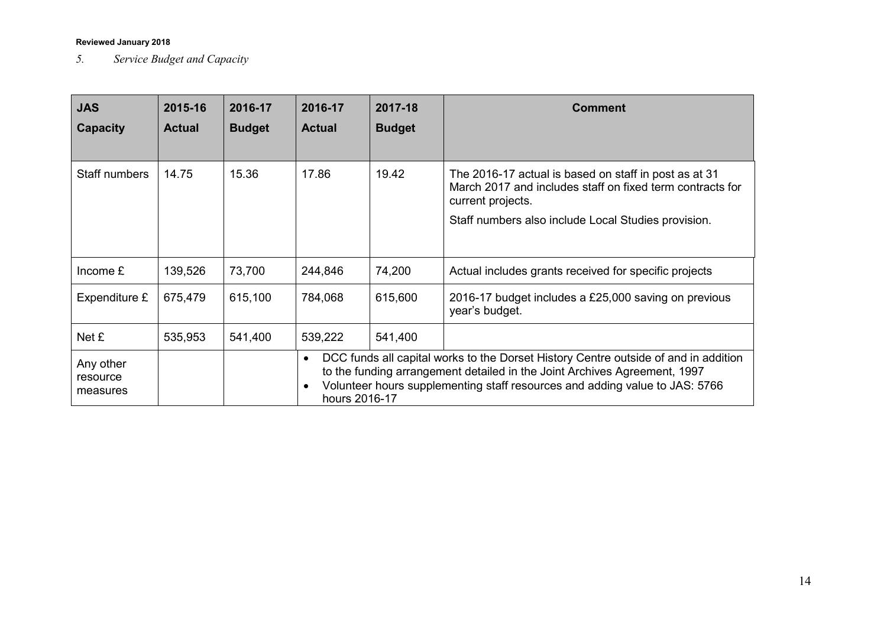*5. Service Budget and Capacity*

| <b>JAS</b><br><b>Capacity</b>     | 2015-16<br><b>Actual</b> | 2016-17<br><b>Budget</b> | 2016-17<br><b>Actual</b>                | 2017-18<br><b>Budget</b> | <b>Comment</b>                                                                                                                                                                                                                                  |
|-----------------------------------|--------------------------|--------------------------|-----------------------------------------|--------------------------|-------------------------------------------------------------------------------------------------------------------------------------------------------------------------------------------------------------------------------------------------|
| Staff numbers                     | 14.75                    | 15.36                    | 17.86                                   | 19.42                    | The 2016-17 actual is based on staff in post as at 31<br>March 2017 and includes staff on fixed term contracts for<br>current projects.<br>Staff numbers also include Local Studies provision.                                                  |
| Income $E$                        | 139,526                  | 73,700                   | 244,846                                 | 74,200                   | Actual includes grants received for specific projects                                                                                                                                                                                           |
| Expenditure £                     | 675,479                  | 615,100                  | 784,068                                 | 615,600                  | 2016-17 budget includes a £25,000 saving on previous<br>year's budget.                                                                                                                                                                          |
| Net £                             | 535,953                  | 541,400                  | 539,222                                 | 541,400                  |                                                                                                                                                                                                                                                 |
| Any other<br>resource<br>measures |                          |                          | $\bullet$<br>$\bullet$<br>hours 2016-17 |                          | DCC funds all capital works to the Dorset History Centre outside of and in addition<br>to the funding arrangement detailed in the Joint Archives Agreement, 1997<br>Volunteer hours supplementing staff resources and adding value to JAS: 5766 |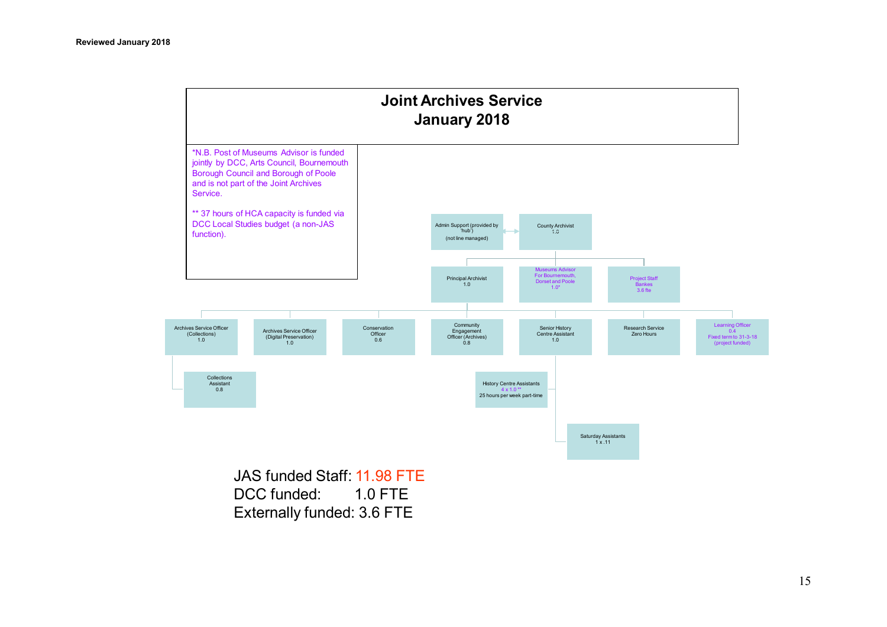

DCC funded: 1.0 FTE Externally funded: 3.6 FTE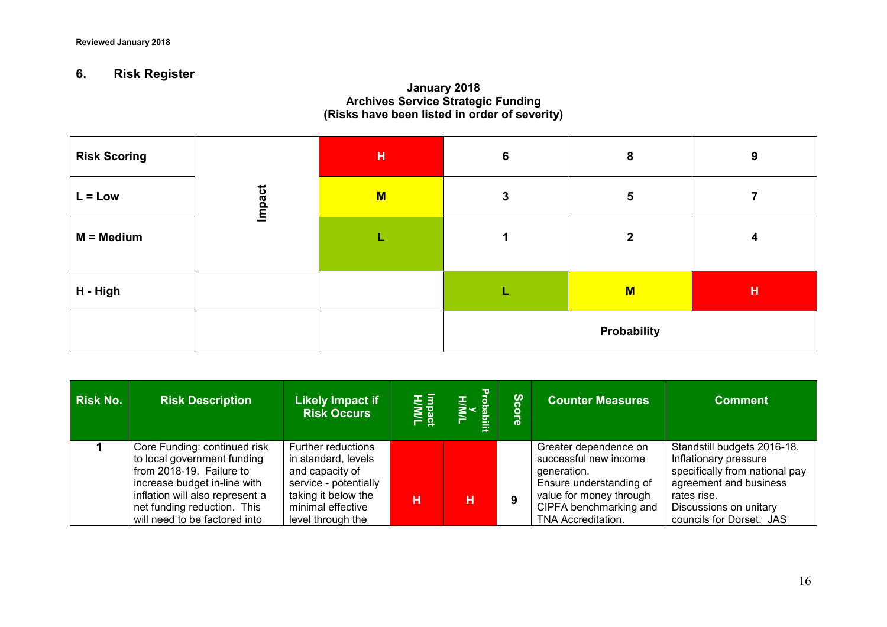# **6. Risk Register**

### **January 2018 Archives Service Strategic Funding (Risks have been listed in order of severity)**

| <b>Risk Scoring</b> |        | H | $6\phantom{1}6$ | 8            | 9 |
|---------------------|--------|---|-----------------|--------------|---|
| $L = Low$           | Impact | M | 3               | 5            |   |
| $M = Medium$        |        | ш |                 | $\mathbf{2}$ | 4 |
| H - High            |        |   |                 | M            | H |
|                     |        |   |                 | Probability  |   |

| <b>Risk No.</b> | <b>Risk Description</b>                                                                                                                                                                                                    | <b>Likely Impact if</b><br><b>Risk Occurs</b>                                                                                                                 | H/M/L<br>H/M/L | HIMIL<br>V<br>HIMIL | ပ္ပ | <b>Counter Measures</b>                                                                                                                                                    | <b>Comment</b>                                                                                                                                                                        |
|-----------------|----------------------------------------------------------------------------------------------------------------------------------------------------------------------------------------------------------------------------|---------------------------------------------------------------------------------------------------------------------------------------------------------------|----------------|---------------------|-----|----------------------------------------------------------------------------------------------------------------------------------------------------------------------------|---------------------------------------------------------------------------------------------------------------------------------------------------------------------------------------|
|                 | Core Funding: continued risk<br>to local government funding<br>from 2018-19. Failure to<br>increase budget in-line with<br>inflation will also represent a<br>net funding reduction. This<br>will need to be factored into | <b>Further reductions</b><br>in standard, levels<br>and capacity of<br>service - potentially<br>taking it below the<br>minimal effective<br>level through the | н              | н                   | 9   | Greater dependence on<br>successful new income<br>generation.<br>Ensure understanding of<br>value for money through<br>CIPFA benchmarking and<br><b>TNA Accreditation.</b> | Standstill budgets 2016-18.<br>Inflationary pressure<br>specifically from national pay<br>agreement and business<br>rates rise.<br>Discussions on unitary<br>councils for Dorset. JAS |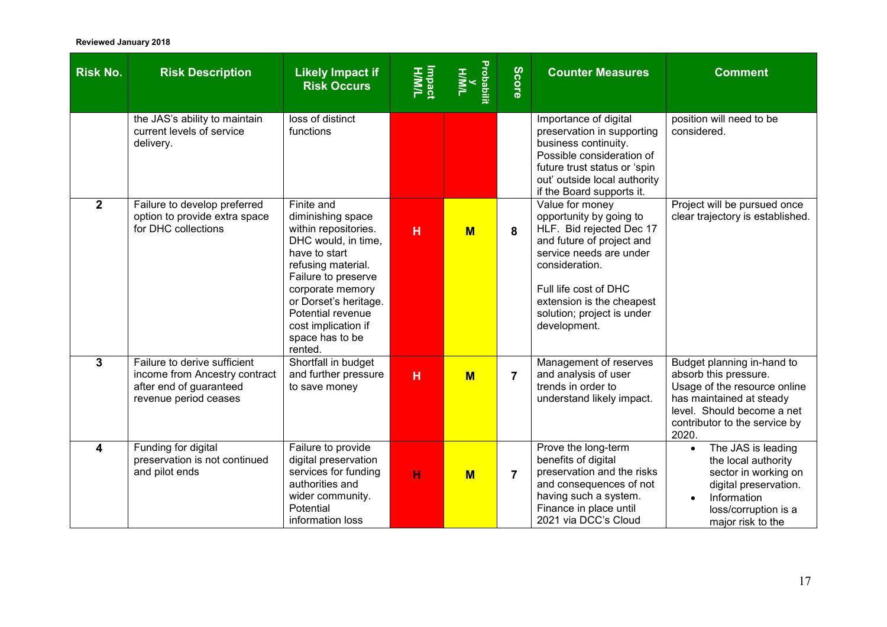| <b>Risk No.</b> | <b>Risk Description</b>                                                                                           | <b>Likely Impact if</b><br><b>Risk Occurs</b>                                                                                                                                                                                                                       | H/M/H<br>H/M/L | Probabili<br><b>H/M/L</b> | <b>Score</b>   | <b>Counter Measures</b>                                                                                                                                                                                                                              | <b>Comment</b>                                                                                                                                                                          |
|-----------------|-------------------------------------------------------------------------------------------------------------------|---------------------------------------------------------------------------------------------------------------------------------------------------------------------------------------------------------------------------------------------------------------------|----------------|---------------------------|----------------|------------------------------------------------------------------------------------------------------------------------------------------------------------------------------------------------------------------------------------------------------|-----------------------------------------------------------------------------------------------------------------------------------------------------------------------------------------|
|                 | the JAS's ability to maintain<br>current levels of service<br>delivery.                                           | loss of distinct<br>functions                                                                                                                                                                                                                                       |                |                           |                | Importance of digital<br>preservation in supporting<br>business continuity.<br>Possible consideration of<br>future trust status or 'spin<br>out' outside local authority<br>if the Board supports it.                                                | position will need to be<br>considered.                                                                                                                                                 |
| $\overline{2}$  | Failure to develop preferred<br>option to provide extra space<br>for DHC collections                              | Finite and<br>diminishing space<br>within repositories.<br>DHC would, in time,<br>have to start<br>refusing material.<br>Failure to preserve<br>corporate memory<br>or Dorset's heritage.<br>Potential revenue<br>cost implication if<br>space has to be<br>rented. | H              | $M$                       | 8              | Value for money<br>opportunity by going to<br>HLF. Bid rejected Dec 17<br>and future of project and<br>service needs are under<br>consideration.<br>Full life cost of DHC<br>extension is the cheapest<br>solution; project is under<br>development. | Project will be pursued once<br>clear trajectory is established.                                                                                                                        |
| $\mathbf{3}$    | Failure to derive sufficient<br>income from Ancestry contract<br>after end of guaranteed<br>revenue period ceases | Shortfall in budget<br>and further pressure<br>to save money                                                                                                                                                                                                        | H              | $M$                       | $\overline{7}$ | Management of reserves<br>and analysis of user<br>trends in order to<br>understand likely impact.                                                                                                                                                    | Budget planning in-hand to<br>absorb this pressure.<br>Usage of the resource online<br>has maintained at steady<br>level. Should become a net<br>contributor to the service by<br>2020. |
| 4               | Funding for digital<br>preservation is not continued<br>and pilot ends                                            | Failure to provide<br>digital preservation<br>services for funding<br>authorities and<br>wider community.<br>Potential<br>information loss                                                                                                                          | н              | $M$                       | $\overline{7}$ | Prove the long-term<br>benefits of digital<br>preservation and the risks<br>and consequences of not<br>having such a system.<br>Finance in place until<br>2021 via DCC's Cloud                                                                       | The JAS is leading<br>$\bullet$<br>the local authority<br>sector in working on<br>digital preservation.<br>Information<br>$\bullet$<br>loss/corruption is a<br>major risk to the        |